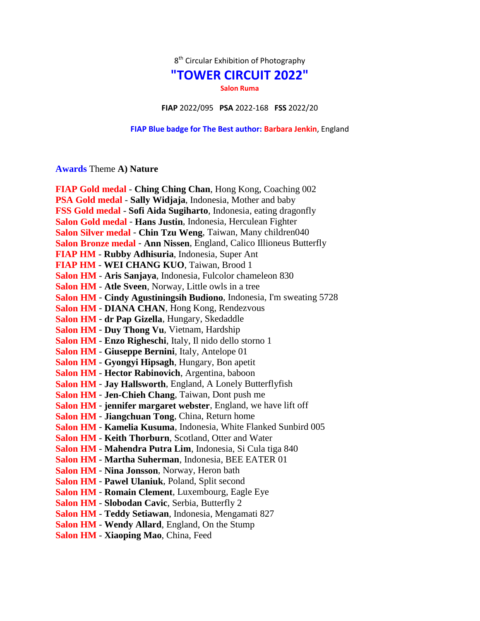$8<sup>th</sup>$  Circular Exhibition of Photography

## **"TOWER CIRCUIT 2022"**

**Salon Ruma**

**FIAP** 2022/095 **PSA** 2022-168 **FSS** 2022/20

**FIAP Blue badge for The Best author: Barbara Jenkin**, England

## **Awards** Theme **A) Nature**

| FIAP Gold medal - Ching Ching Chan, Hong Kong, Coaching 002          |
|----------------------------------------------------------------------|
| PSA Gold medal - Sally Widjaja, Indonesia, Mother and baby           |
| FSS Gold medal - Sofi Aida Sugiharto, Indonesia, eating dragonfly    |
| Salon Gold medal - Hans Justin, Indonesia, Herculean Fighter         |
| Salon Silver medal - Chin Tzu Weng, Taiwan, Many children040         |
| Salon Bronze medal - Ann Nissen, England, Calico Illioneus Butterfly |
| FIAP HM - Rubby Adhisuria, Indonesia, Super Ant                      |
| FIAP HM - WEI CHANG KUO, Taiwan, Brood 1                             |
| Salon HM - Aris Sanjaya, Indonesia, Fulcolor chameleon 830           |
| <b>Salon HM - Atle Sveen, Norway, Little owls in a tree</b>          |
| Salon HM - Cindy Agustiningsih Budiono, Indonesia, I'm sweating 5728 |
| Salon HM - DIANA CHAN, Hong Kong, Rendezvous                         |
| Salon HM - dr Pap Gizella, Hungary, Skedaddle                        |
| Salon HM - Duy Thong Vu, Vietnam, Hardship                           |
| Salon HM - Enzo Righeschi, Italy, Il nido dello storno 1             |
| Salon HM - Giuseppe Bernini, Italy, Antelope 01                      |
| Salon HM - Gyongyi Hipsagh, Hungary, Bon apetit                      |
| Salon HM - Hector Rabinovich, Argentina, baboon                      |
| Salon HM - Jay Hallsworth, England, A Lonely Butterflyfish           |
| Salon HM - Jen-Chieh Chang, Taiwan, Dont push me                     |
| Salon HM - jennifer margaret webster, England, we have lift off      |
| Salon HM - Jiangchuan Tong, China, Return home                       |
| Salon HM - Kamelia Kusuma, Indonesia, White Flanked Sunbird 005      |
| <b>Salon HM - Keith Thorburn, Scotland, Otter and Water</b>          |
| Salon HM - Mahendra Putra Lim, Indonesia, Si Cula tiga 840           |
| Salon HM - Martha Suherman, Indonesia, BEE EATER 01                  |
| Salon HM - Nina Jonsson, Norway, Heron bath                          |
| Salon HM - Pawel Ulaniuk, Poland, Split second                       |
| Salon HM - Romain Clement, Luxembourg, Eagle Eye                     |
| Salon HM - Slobodan Cavic, Serbia, Butterfly 2                       |
| Salon HM - Teddy Setiawan, Indonesia, Mengamati 827                  |
| Salon HM - Wendy Allard, England, On the Stump                       |
| Salon HM - Xiaoping Mao, China, Feed                                 |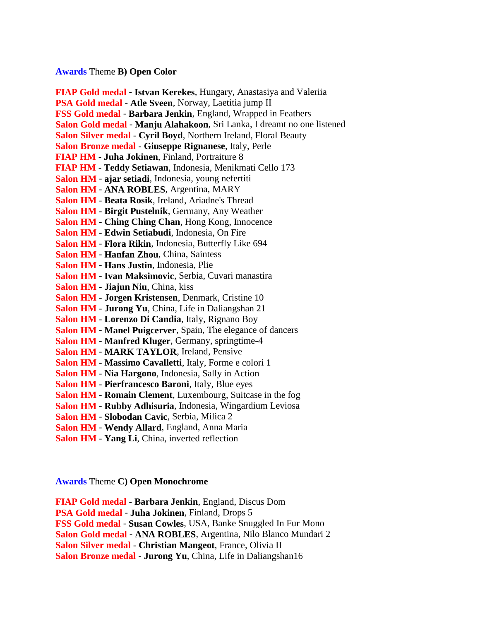## **Awards** Theme **B) Open Color**

**FIAP Gold medal** - **Istvan Kerekes**, Hungary, Anastasiya and Valeriia **PSA Gold medal** - **Atle Sveen**, Norway, Laetitia jump II **FSS Gold medal** - **Barbara Jenkin**, England, Wrapped in Feathers **Salon Gold medal** - **Manju Alahakoon**, Sri Lanka, I dreamt no one listened **Salon Silver medal** - **Cyril Boyd**, Northern Ireland, Floral Beauty **Salon Bronze medal** - **Giuseppe Rignanese**, Italy, Perle **FIAP HM** - **Juha Jokinen**, Finland, Portraiture 8 **FIAP HM** - **Teddy Setiawan**, Indonesia, Menikmati Cello 173 **Salon HM** - **ajar setiadi**, Indonesia, young nefertiti **Salon HM** - **ANA ROBLES**, Argentina, MARY **Salon HM** - **Beata Rosik**, Ireland, Ariadne's Thread **Salon HM** - **Birgit Pustelnik**, Germany, Any Weather **Salon HM** - **Ching Ching Chan**, Hong Kong, Innocence **Salon HM** - **Edwin Setiabudi**, Indonesia, On Fire **Salon HM** - **Flora Rikin**, Indonesia, Butterfly Like 694 **Salon HM** - **Hanfan Zhou**, China, Saintess **Salon HM** - **Hans Justin**, Indonesia, Plie **Salon HM** - **Ivan Maksimovic**, Serbia, Cuvari manastira **Salon HM** - **Jiajun Niu**, China, kiss **Salon HM** - **Jorgen Kristensen**, Denmark, Cristine 10 **Salon HM** - **Jurong Yu**, China, Life in Daliangshan 21 **Salon HM** - **Lorenzo Di Candia**, Italy, Rignano Boy **Salon HM** - **Manel Puigcerver**, Spain, The elegance of dancers **Salon HM** - **Manfred Kluger**, Germany, springtime-4 **Salon HM** - **MARK TAYLOR**, Ireland, Pensive **Salon HM** - **Massimo Cavalletti**, Italy, Forme e colori 1 **Salon HM** - **Nia Hargono**, Indonesia, Sally in Action **Salon HM** - **Pierfrancesco Baroni**, Italy, Blue eyes **Salon HM** - **Romain Clement**, Luxembourg, Suitcase in the fog **Salon HM** - **Rubby Adhisuria**, Indonesia, Wingardium Leviosa **Salon HM** - **Slobodan Cavic**, Serbia, Milica 2 **Salon HM** - **Wendy Allard**, England, Anna Maria **Salon HM** - **Yang Li**, China, inverted reflection

**Awards** Theme **C) Open Monochrome**

**FIAP Gold medal** - **Barbara Jenkin**, England, Discus Dom **PSA Gold medal** - **Juha Jokinen**, Finland, Drops 5 **FSS Gold medal** - **Susan Cowles**, USA, Banke Snuggled In Fur Mono **Salon Gold medal** - **ANA ROBLES**, Argentina, Nilo Blanco Mundari 2 **Salon Silver medal** - **Christian Mangeot**, France, Olivia II **Salon Bronze medal** - **Jurong Yu**, China, Life in Daliangshan16